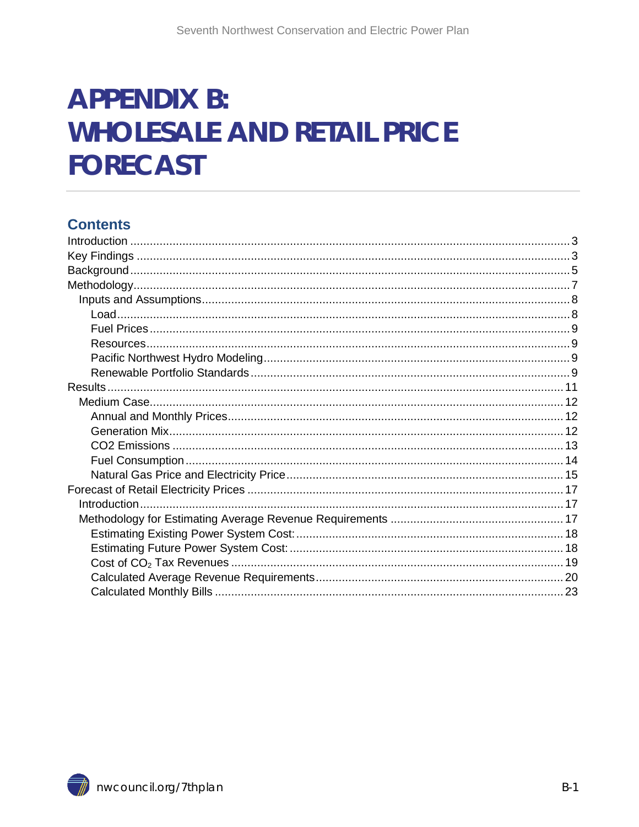# **APPENDIX B: WHOLESALE AND RETAIL PRICE FORECAST**

### **Contents**

<span id="page-0-0"></span>

 $B-1$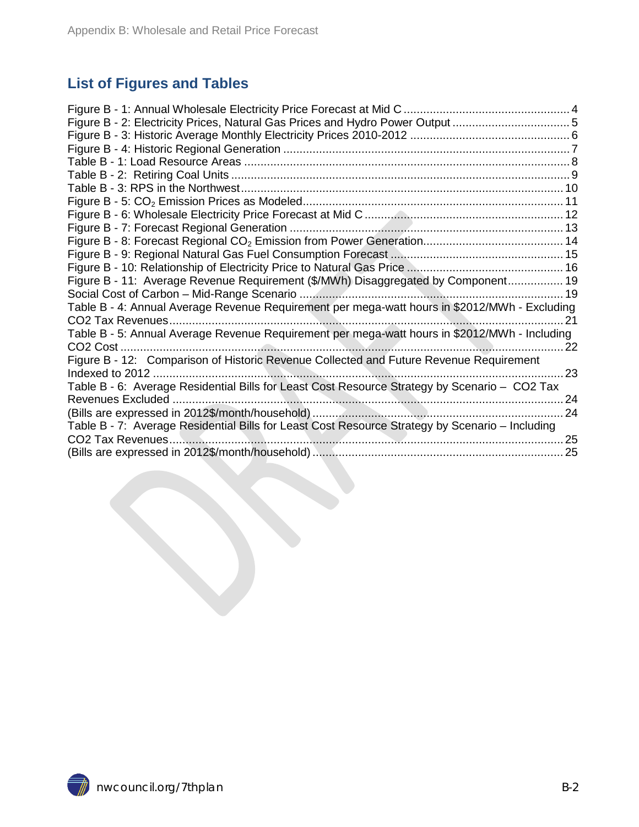### **List of Figures and Tables**

| Figure B - 11: Average Revenue Requirement (\$/MWh) Disaggregated by Component 19               |    |
|-------------------------------------------------------------------------------------------------|----|
|                                                                                                 |    |
| Table B - 4: Annual Average Revenue Requirement per mega-watt hours in \$2012/MWh - Excluding   |    |
|                                                                                                 | 21 |
| Table B - 5: Annual Average Revenue Requirement per mega-watt hours in \$2012/MWh - Including   |    |
| CO <sub>2</sub> Cost                                                                            | 22 |
| Figure B - 12: Comparison of Historic Revenue Collected and Future Revenue Requirement          |    |
| Indexed to 2012.                                                                                | 23 |
| Table B - 6: Average Residential Bills for Least Cost Resource Strategy by Scenario - CO2 Tax   |    |
|                                                                                                 | 24 |
|                                                                                                 | 24 |
| Table B - 7: Average Residential Bills for Least Cost Resource Strategy by Scenario - Including |    |
|                                                                                                 |    |
|                                                                                                 |    |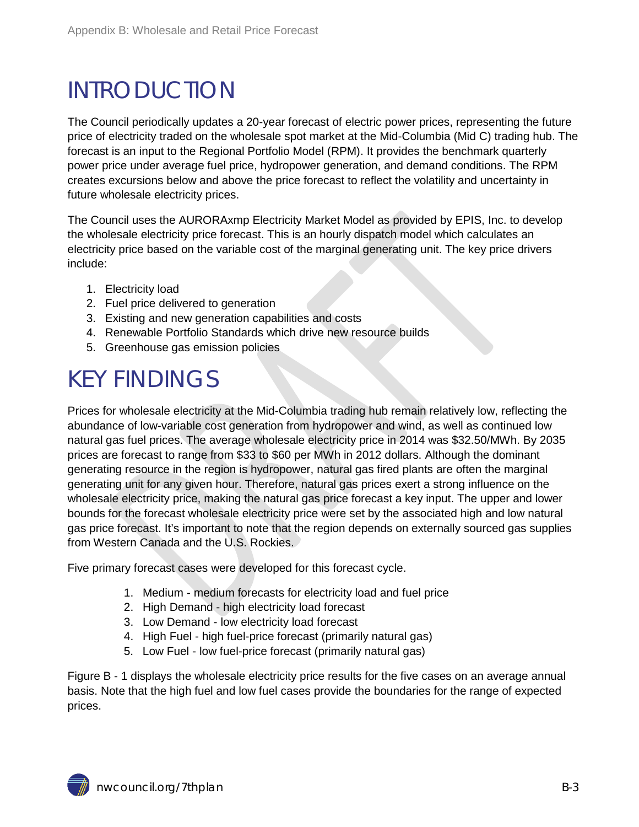## <span id="page-2-0"></span>INTRODUCTION

The Council periodically updates a 20-year forecast of electric power prices, representing the future price of electricity traded on the wholesale spot market at the Mid-Columbia (Mid C) trading hub. The forecast is an input to the Regional Portfolio Model (RPM). It provides the benchmark quarterly power price under average fuel price, hydropower generation, and demand conditions. The RPM creates excursions below and above the price forecast to reflect the volatility and uncertainty in future wholesale electricity prices.

The Council uses the AURORAxmp Electricity Market Model as provided by EPIS, Inc. to develop the wholesale electricity price forecast. This is an hourly dispatch model which calculates an electricity price based on the variable cost of the marginal generating unit. The key price drivers include:

- 1. Electricity load
- 2. Fuel price delivered to generation
- 3. Existing and new generation capabilities and costs
- 4. Renewable Portfolio Standards which drive new resource builds
- 5. Greenhouse gas emission policies

## <span id="page-2-1"></span>KEY FINDINGS

Prices for wholesale electricity at the Mid-Columbia trading hub remain relatively low, reflecting the abundance of low-variable cost generation from hydropower and wind, as well as continued low natural gas fuel prices. The average wholesale electricity price in 2014 was \$32.50/MWh. By 2035 prices are forecast to range from \$33 to \$60 per MWh in 2012 dollars. Although the dominant generating resource in the region is hydropower, natural gas fired plants are often the marginal generating unit for any given hour. Therefore, natural gas prices exert a strong influence on the wholesale electricity price, making the natural gas price forecast a key input. The upper and lower bounds for the forecast wholesale electricity price were set by the associated high and low natural gas price forecast. It's important to note that the region depends on externally sourced gas supplies from Western Canada and the U.S. Rockies.

Five primary forecast cases were developed for this forecast cycle.

- 1. Medium medium forecasts for electricity load and fuel price
- 2. High Demand high electricity load forecast
- 3. Low Demand low electricity load forecast
- 4. High Fuel high fuel-price forecast (primarily natural gas)
- 5. Low Fuel low fuel-price forecast (primarily natural gas)

Figure B - 1 displays the wholesale electricity price results for the five cases on an average annual basis. Note that the high fuel and low fuel cases provide the boundaries for the range of expected prices.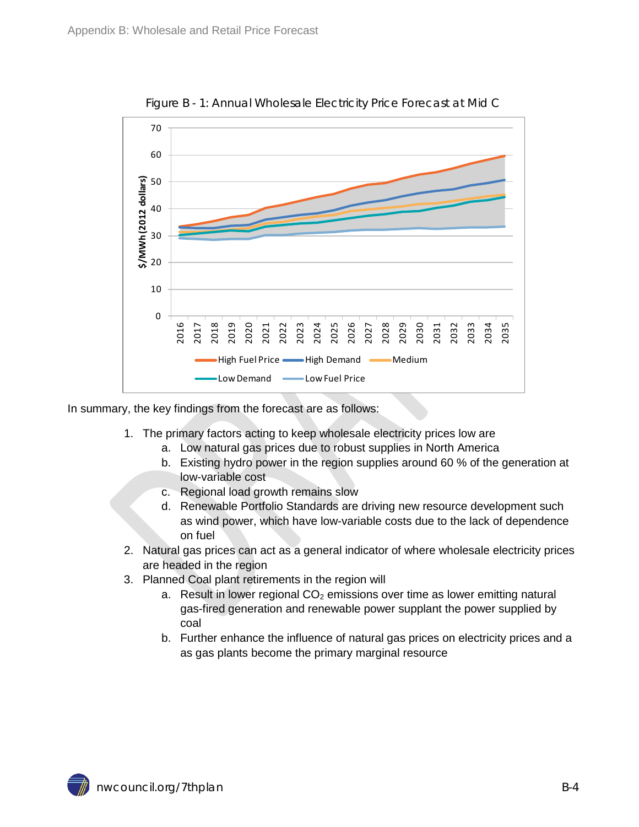<span id="page-3-1"></span>

Figure B - 1: Annual Wholesale Electricity Price Forecast at Mid C

In summary, the key findings from the forecast are as follows:

- 1. The primary factors acting to keep wholesale electricity prices low are
	- a. Low natural gas prices due to robust supplies in North America
	- b. Existing hydro power in the region supplies around 60 % of the generation at low-variable cost
	- c. Regional load growth remains slow
	- d. Renewable Portfolio Standards are driving new resource development such as wind power, which have low-variable costs due to the lack of dependence on fuel
- 2. Natural gas prices can act as a general indicator of where wholesale electricity prices are headed in the region
- <span id="page-3-0"></span>3. Planned Coal plant retirements in the region will
	- a. Result in lower regional  $CO<sub>2</sub>$  emissions over time as lower emitting natural gas-fired generation and renewable power supplant the power supplied by coal
	- b. Further enhance the influence of natural gas prices on electricity prices and a as gas plants become the primary marginal resource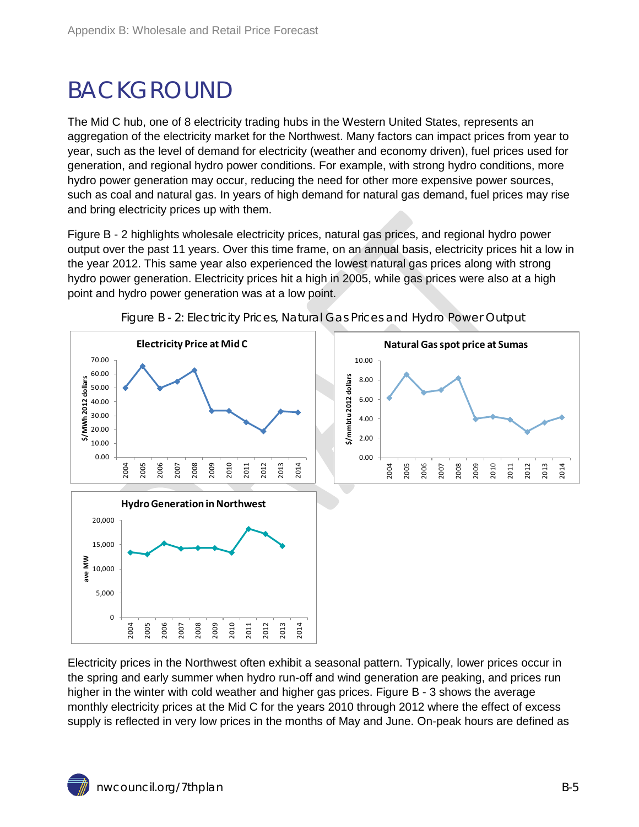## BACKGROUND

The Mid C hub, one of 8 electricity trading hubs in the Western United States, represents an aggregation of the electricity market for the Northwest. Many factors can impact prices from year to year, such as the level of demand for electricity (weather and economy driven), fuel prices used for generation, and regional hydro power conditions. For example, with strong hydro conditions, more hydro power generation may occur, reducing the need for other more expensive power sources, such as coal and natural gas. In years of high demand for natural gas demand, fuel prices may rise and bring electricity prices up with them.

Figure B - 2 highlights wholesale electricity prices, natural gas prices, and regional hydro power output over the past 11 years. Over this time frame, on an annual basis, electricity prices hit a low in the year 2012. This same year also experienced the lowest natural gas prices along with strong hydro power generation. Electricity prices hit a high in 2005, while gas prices were also at a high point and hydro power generation was at a low point.

<span id="page-4-0"></span>



Electricity prices in the Northwest often exhibit a seasonal pattern. Typically, lower prices occur in the spring and early summer when hydro run-off and wind generation are peaking, and prices run higher in the winter with cold weather and higher gas prices. Figure B - 3 shows the average monthly electricity prices at the Mid C for the years 2010 through 2012 where the effect of excess supply is reflected in very low prices in the months of May and June. On-peak hours are defined as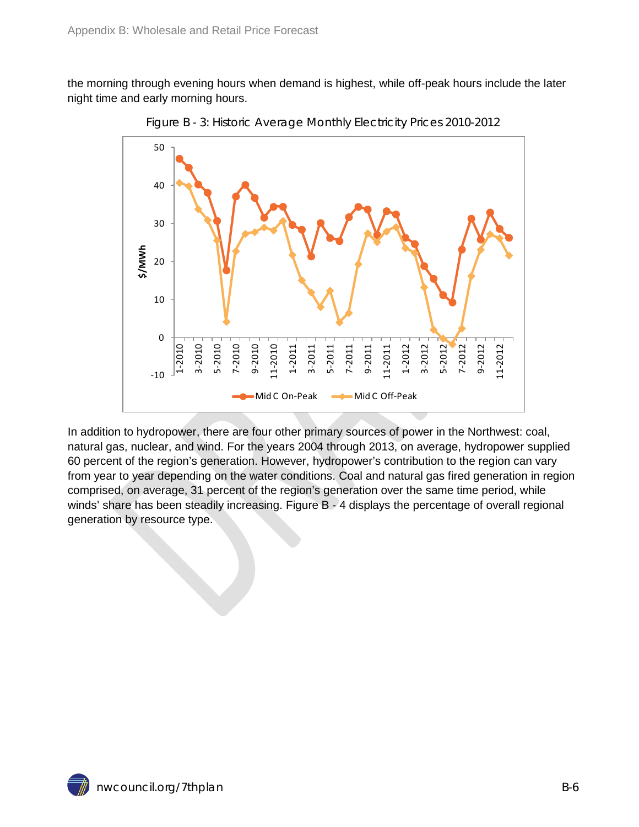<span id="page-5-0"></span>the morning through evening hours when demand is highest, while off-peak hours include the later night time and early morning hours.



Figure B - 3: Historic Average Monthly Electricity Prices 2010-2012

In addition to hydropower, there are four other primary sources of power in the Northwest: coal, natural gas, nuclear, and wind. For the years 2004 through 2013, on average, hydropower supplied 60 percent of the region's generation. However, hydropower's contribution to the region can vary from year to year depending on the water conditions. Coal and natural gas fired generation in region comprised, on average, 31 percent of the region's generation over the same time period, while winds' share has been steadily increasing. Figure B - 4 displays the percentage of overall regional generation by resource type.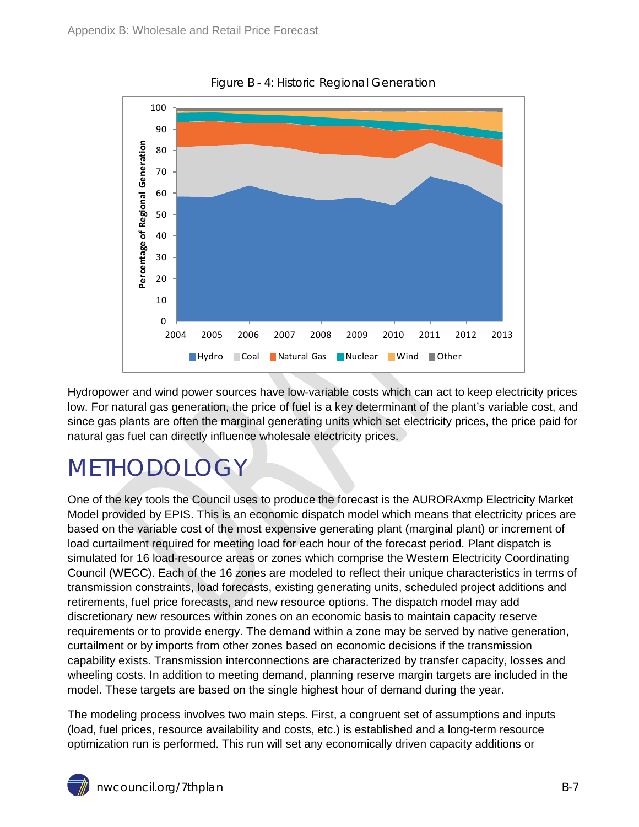<span id="page-6-1"></span>

Figure B - 4: Historic Regional Generation

Hydropower and wind power sources have low-variable costs which can act to keep electricity prices low. For natural gas generation, the price of fuel is a key determinant of the plant's variable cost, and since gas plants are often the marginal generating units which set electricity prices, the price paid for natural gas fuel can directly influence wholesale electricity prices.

## <span id="page-6-0"></span>METHODOLOGY

One of the key tools the Council uses to produce the forecast is the AURORAxmp Electricity Market Model provided by EPIS. This is an economic dispatch model which means that electricity prices are based on the variable cost of the most expensive generating plant (marginal plant) or increment of load curtailment required for meeting load for each hour of the forecast period. Plant dispatch is simulated for 16 load-resource areas or zones which comprise the Western Electricity Coordinating Council (WECC). Each of the 16 zones are modeled to reflect their unique characteristics in terms of transmission constraints, load forecasts, existing generating units, scheduled project additions and retirements, fuel price forecasts, and new resource options. The dispatch model may add discretionary new resources within zones on an economic basis to maintain capacity reserve requirements or to provide energy. The demand within a zone may be served by native generation, curtailment or by imports from other zones based on economic decisions if the transmission capability exists. Transmission interconnections are characterized by transfer capacity, losses and wheeling costs. In addition to meeting demand, planning reserve margin targets are included in the model. These targets are based on the single highest hour of demand during the year.

The modeling process involves two main steps. First, a congruent set of assumptions and inputs (load, fuel prices, resource availability and costs, etc.) is established and a long-term resource optimization run is performed. This run will set any economically driven capacity additions or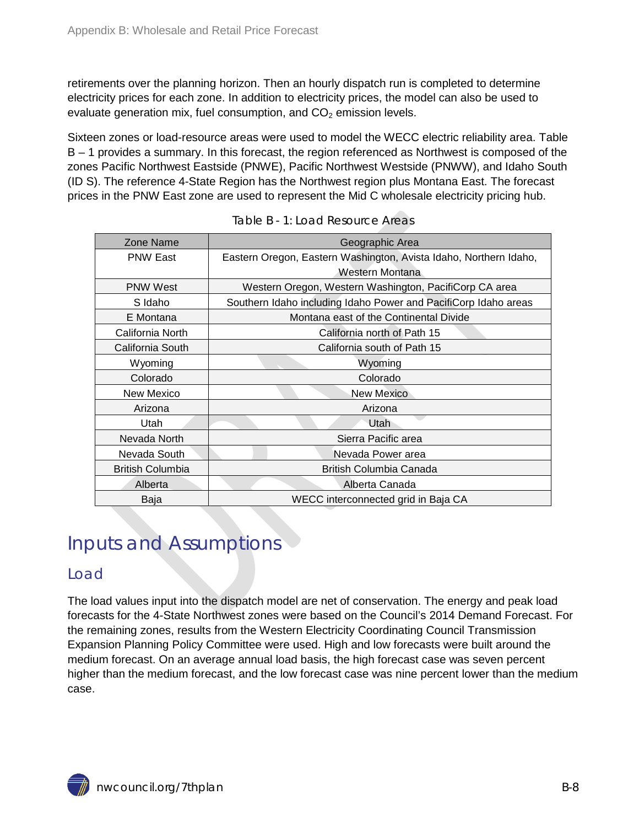retirements over the planning horizon. Then an hourly dispatch run is completed to determine electricity prices for each zone. In addition to electricity prices, the model can also be used to evaluate generation mix, fuel consumption, and  $CO<sub>2</sub>$  emission levels.

Sixteen zones or load-resource areas were used to model the WECC electric reliability area. Table B – 1 provides a summary. In this forecast, the region referenced as Northwest is composed of the zones Pacific Northwest Eastside (PNWE), Pacific Northwest Westside (PNWW), and Idaho South (ID S). The reference 4-State Region has the Northwest region plus Montana East. The forecast prices in the PNW East zone are used to represent the Mid C wholesale electricity pricing hub.

<span id="page-7-2"></span>

| Zone Name               | Geographic Area                                                   |
|-------------------------|-------------------------------------------------------------------|
| <b>PNW East</b>         | Eastern Oregon, Eastern Washington, Avista Idaho, Northern Idaho, |
|                         | Western Montana                                                   |
| <b>PNW West</b>         | Western Oregon, Western Washington, PacifiCorp CA area            |
| S Idaho                 | Southern Idaho including Idaho Power and PacifiCorp Idaho areas   |
| E Montana               | Montana east of the Continental Divide                            |
| California North        | California north of Path 15                                       |
| California South        | California south of Path 15                                       |
| Wyoming                 | Wyoming                                                           |
| Colorado                | Colorado                                                          |
| <b>New Mexico</b>       | <b>New Mexico</b>                                                 |
| Arizona                 | Arizona                                                           |
| Utah                    | Utah                                                              |
| Nevada North            | Sierra Pacific area                                               |
| Nevada South            | Nevada Power area                                                 |
| <b>British Columbia</b> | British Columbia Canada                                           |
| Alberta                 | Alberta Canada                                                    |
| Baja                    | WECC interconnected grid in Baja CA                               |

|  | Table B - 1: Load Resource Areas |  |
|--|----------------------------------|--|
|  |                                  |  |

### <span id="page-7-0"></span>Inputs and Assumptions

#### <span id="page-7-1"></span>Load

The load values input into the dispatch model are net of conservation. The energy and peak load forecasts for the 4-State Northwest zones were based on the Council's 2014 Demand Forecast. For the remaining zones, results from the Western Electricity Coordinating Council Transmission Expansion Planning Policy Committee were used. High and low forecasts were built around the medium forecast. On an average annual load basis, the high forecast case was seven percent higher than the medium forecast, and the low forecast case was nine percent lower than the medium case.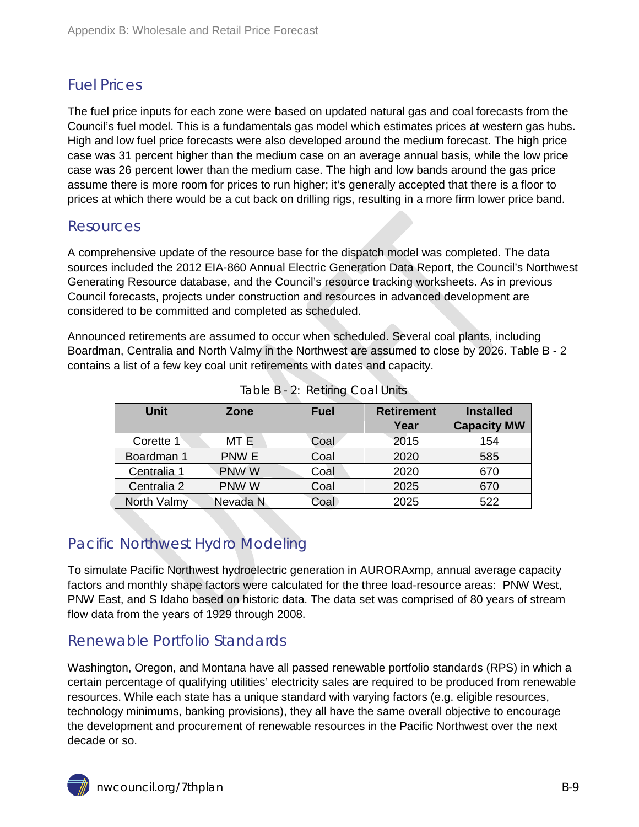### <span id="page-8-0"></span>Fuel Prices

The fuel price inputs for each zone were based on updated natural gas and coal forecasts from the Council's fuel model. This is a fundamentals gas model which estimates prices at western gas hubs. High and low fuel price forecasts were also developed around the medium forecast. The high price case was 31 percent higher than the medium case on an average annual basis, while the low price case was 26 percent lower than the medium case. The high and low bands around the gas price assume there is more room for prices to run higher; it's generally accepted that there is a floor to prices at which there would be a cut back on drilling rigs, resulting in a more firm lower price band.

#### <span id="page-8-1"></span>Resources

A comprehensive update of the resource base for the dispatch model was completed. The data sources included the 2012 EIA-860 Annual Electric Generation Data Report, the Council's Northwest Generating Resource database, and the Council's resource tracking worksheets. As in previous Council forecasts, projects under construction and resources in advanced development are considered to be committed and completed as scheduled.

Announced retirements are assumed to occur when scheduled. Several coal plants, including Boardman, Centralia and North Valmy in the Northwest are assumed to close by 2026. Table B - 2 contains a list of a few key coal unit retirements with dates and capacity.

<span id="page-8-4"></span>

| <b>Unit</b> | Zone     | <b>Fuel</b> | <b>Retirement</b> | <b>Installed</b>   |
|-------------|----------|-------------|-------------------|--------------------|
|             |          |             | Year              | <b>Capacity MW</b> |
| Corette 1   | MT E     | Coal        | 2015              | 154                |
| Boardman 1  | PNW E    | Coal        | 2020              | 585                |
| Centralia 1 | PNW W    | Coal        | 2020              | 670                |
| Centralia 2 | PNW W    | Coal        | 2025              | 670                |
| North Valmy | Nevada N | Coal        | 2025              | 522                |

|  | Table B - 2: Retiring Coal Units |  |
|--|----------------------------------|--|

### <span id="page-8-2"></span>Pacific Northwest Hydro Modeling

To simulate Pacific Northwest hydroelectric generation in AURORAxmp, annual average capacity factors and monthly shape factors were calculated for the three load-resource areas: PNW West, PNW East, and S Idaho based on historic data. The data set was comprised of 80 years of stream flow data from the years of 1929 through 2008.

### <span id="page-8-3"></span>Renewable Portfolio Standards

Washington, Oregon, and Montana have all passed renewable portfolio standards (RPS) in which a certain percentage of qualifying utilities' electricity sales are required to be produced from renewable resources. While each state has a unique standard with varying factors (e.g. eligible resources, technology minimums, banking provisions), they all have the same overall objective to encourage the development and procurement of renewable resources in the Pacific Northwest over the next decade or so.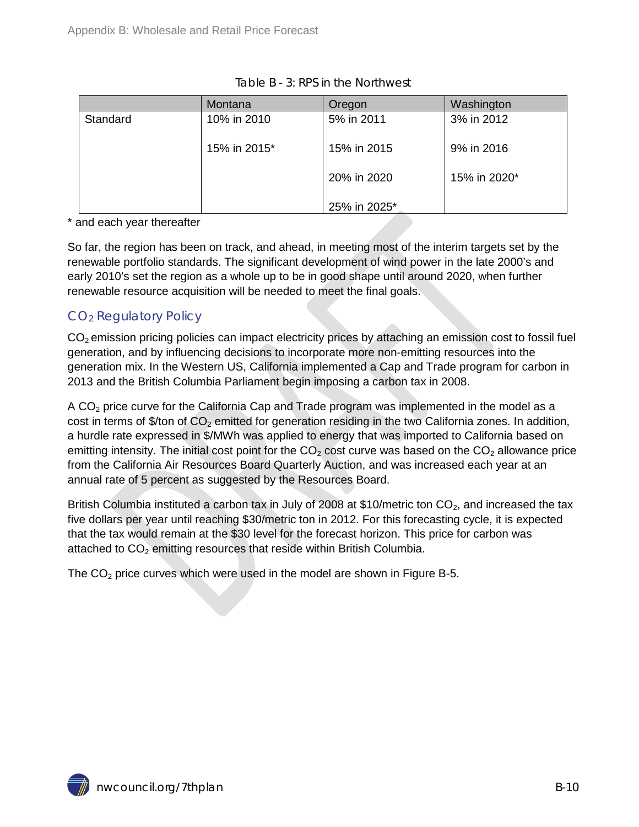<span id="page-9-0"></span>

|          | Montana      | Oregon       | Washington   |
|----------|--------------|--------------|--------------|
| Standard | 10% in 2010  | 5% in 2011   | 3% in 2012   |
|          | 15% in 2015* | 15% in 2015  | 9% in 2016   |
|          |              | 20% in 2020  | 15% in 2020* |
|          |              | 25% in 2025* |              |

\* and each year thereafter

So far, the region has been on track, and ahead, in meeting most of the interim targets set by the renewable portfolio standards. The significant development of wind power in the late 2000's and early 2010's set the region as a whole up to be in good shape until around 2020, when further renewable resource acquisition will be needed to meet the final goals.

### CO2 Regulatory Policy

 $CO<sub>2</sub>$  emission pricing policies can impact electricity prices by attaching an emission cost to fossil fuel generation, and by influencing decisions to incorporate more non-emitting resources into the generation mix. In the Western US, California implemented a Cap and Trade program for carbon in 2013 and the British Columbia Parliament begin imposing a carbon tax in 2008.

A  $CO<sub>2</sub>$  price curve for the California Cap and Trade program was implemented in the model as a cost in terms of \$/ton of CO<sub>2</sub> emitted for generation residing in the two California zones. In addition, a hurdle rate expressed in \$/MWh was applied to energy that was imported to California based on emitting intensity. The initial cost point for the  $CO<sub>2</sub>$  cost curve was based on the  $CO<sub>2</sub>$  allowance price from the California Air Resources Board Quarterly Auction, and was increased each year at an annual rate of 5 percent as suggested by the Resources Board.

British Columbia instituted a carbon tax in July of 2008 at \$10/metric ton  $CO<sub>2</sub>$ , and increased the tax five dollars per year until reaching \$30/metric ton in 2012. For this forecasting cycle, it is expected that the tax would remain at the \$30 level for the forecast horizon. This price for carbon was attached to  $CO<sub>2</sub>$  emitting resources that reside within British Columbia.

The  $CO<sub>2</sub>$  price curves which were used in the model are shown in Figure B-5.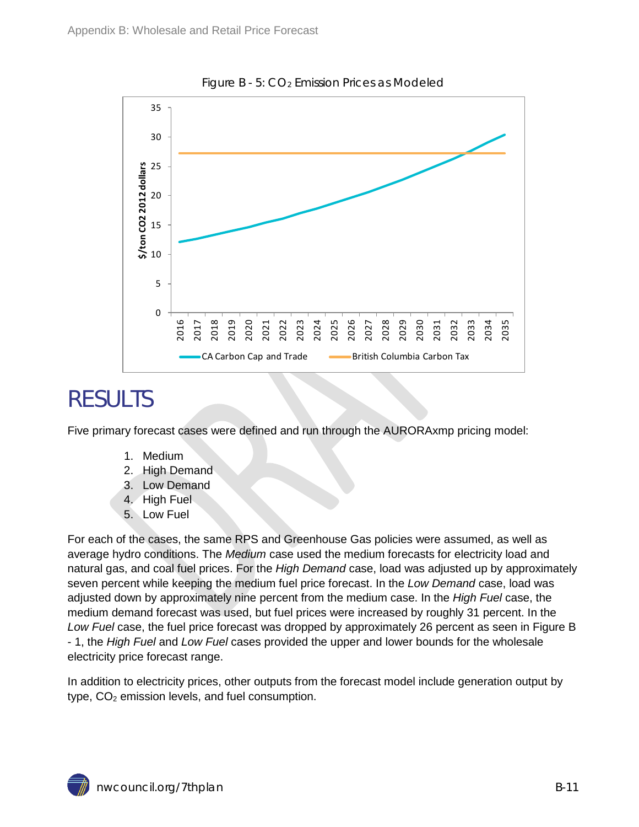<span id="page-10-1"></span>

Figure B - 5: CO2 Emission Prices as Modeled

### <span id="page-10-0"></span>RESULTS

Five primary forecast cases were defined and run through the AURORAxmp pricing model:

- 1. Medium
- 2. High Demand
- 3. Low Demand
- 4. High Fuel
- 5. Low Fuel

For each of the cases, the same RPS and Greenhouse Gas policies were assumed, as well as average hydro conditions. The *Medium* case used the medium forecasts for electricity load and natural gas, and coal fuel prices. For the *High Demand* case, load was adjusted up by approximately seven percent while keeping the medium fuel price forecast. In the *Low Demand* case, load was adjusted down by approximately nine percent from the medium case. In the *High Fuel* case, the medium demand forecast was used, but fuel prices were increased by roughly 31 percent. In the *Low Fuel* case, the fuel price forecast was dropped by approximately 26 percent as seen in Figure B - 1, the *High Fuel* and *Low Fuel* cases provided the upper and lower bounds for the wholesale electricity price forecast range.

In addition to electricity prices, other outputs from the forecast model include generation output by type,  $CO<sub>2</sub>$  emission levels, and fuel consumption.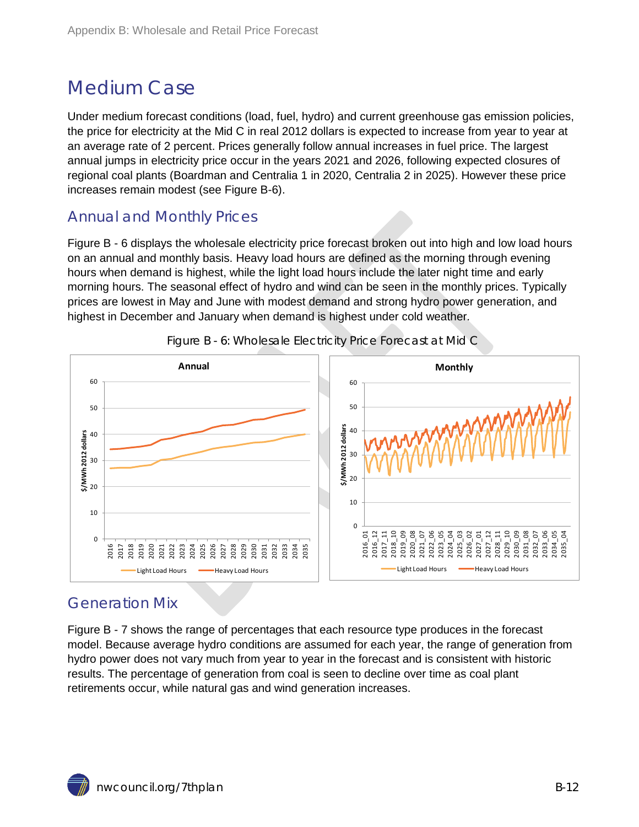### <span id="page-11-0"></span>Medium Case

Under medium forecast conditions (load, fuel, hydro) and current greenhouse gas emission policies, the price for electricity at the Mid C in real 2012 dollars is expected to increase from year to year at an average rate of 2 percent. Prices generally follow annual increases in fuel price. The largest annual jumps in electricity price occur in the years 2021 and 2026, following expected closures of regional coal plants (Boardman and Centralia 1 in 2020, Centralia 2 in 2025). However these price increases remain modest (see Figure B-6).

### <span id="page-11-1"></span>Annual and Monthly Prices

Figure B - 6 displays the wholesale electricity price forecast broken out into high and low load hours on an annual and monthly basis. Heavy load hours are defined as the morning through evening hours when demand is highest, while the light load hours include the later night time and early morning hours. The seasonal effect of hydro and wind can be seen in the monthly prices. Typically prices are lowest in May and June with modest demand and strong hydro power generation, and highest in December and January when demand is highest under cold weather.

<span id="page-11-3"></span>



### <span id="page-11-2"></span>Generation Mix

Figure B - 7 shows the range of percentages that each resource type produces in the forecast model. Because average hydro conditions are assumed for each year, the range of generation from hydro power does not vary much from year to year in the forecast and is consistent with historic results. The percentage of generation from coal is seen to decline over time as coal plant retirements occur, while natural gas and wind generation increases.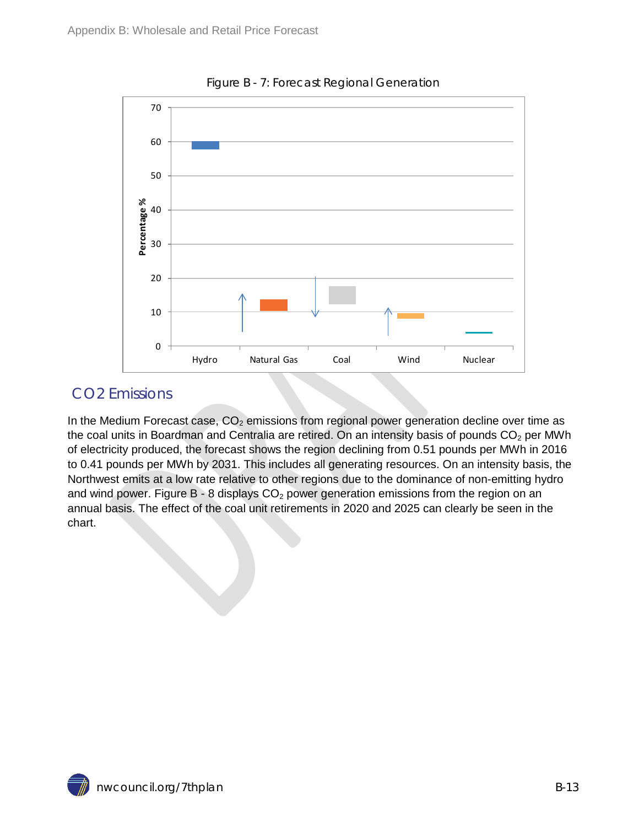<span id="page-12-1"></span>

Figure B - 7: Forecast Regional Generation

### <span id="page-12-0"></span>CO2 Emissions

In the Medium Forecast case,  $CO<sub>2</sub>$  emissions from regional power generation decline over time as the coal units in Boardman and Centralia are retired. On an intensity basis of pounds  $CO<sub>2</sub>$  per MWh of electricity produced, the forecast shows the region declining from 0.51 pounds per MWh in 2016 to 0.41 pounds per MWh by 2031. This includes all generating resources. On an intensity basis, the Northwest emits at a low rate relative to other regions due to the dominance of non-emitting hydro and wind power. Figure B - 8 displays  $CO<sub>2</sub>$  power generation emissions from the region on an annual basis. The effect of the coal unit retirements in 2020 and 2025 can clearly be seen in the chart.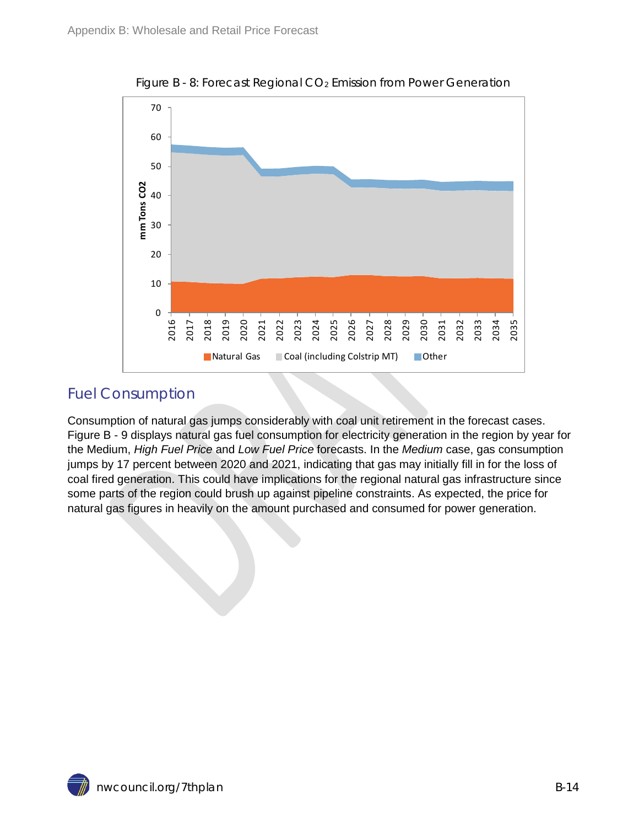<span id="page-13-1"></span>

Figure B - 8: Forecast Regional CO<sub>2</sub> Emission from Power Generation

### <span id="page-13-0"></span>Fuel Consumption

Consumption of natural gas jumps considerably with coal unit retirement in the forecast cases. Figure B - 9 displays natural gas fuel consumption for electricity generation in the region by year for the Medium, *High Fuel Price* and *Low Fuel Price* forecasts. In the *Medium* case, gas consumption jumps by 17 percent between 2020 and 2021, indicating that gas may initially fill in for the loss of coal fired generation. This could have implications for the regional natural gas infrastructure since some parts of the region could brush up against pipeline constraints. As expected, the price for natural gas figures in heavily on the amount purchased and consumed for power generation.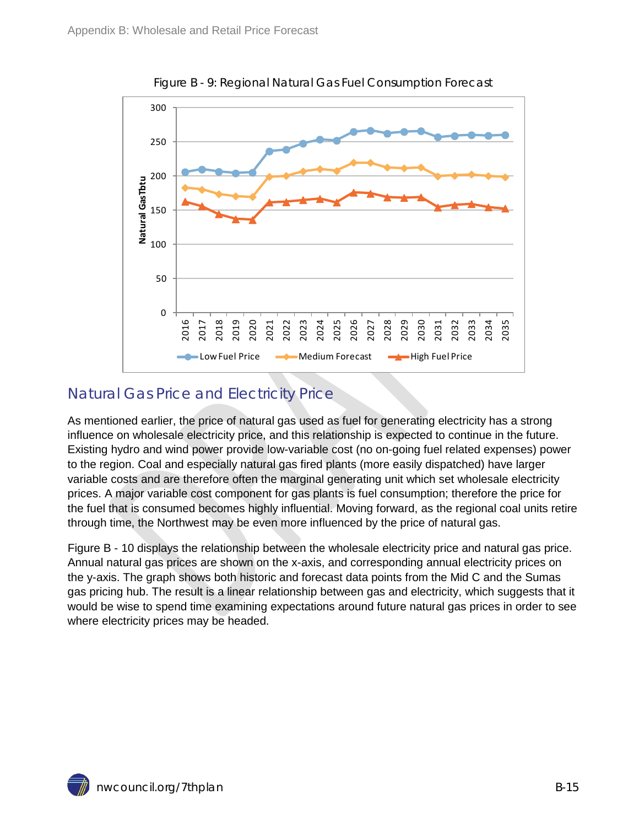<span id="page-14-1"></span>

Figure B - 9: Regional Natural Gas Fuel Consumption Forecast

### <span id="page-14-0"></span>Natural Gas Price and Electricity Price

As mentioned earlier, the price of natural gas used as fuel for generating electricity has a strong influence on wholesale electricity price, and this relationship is expected to continue in the future. Existing hydro and wind power provide low-variable cost (no on-going fuel related expenses) power to the region. Coal and especially natural gas fired plants (more easily dispatched) have larger variable costs and are therefore often the marginal generating unit which set wholesale electricity prices. A major variable cost component for gas plants is fuel consumption; therefore the price for the fuel that is consumed becomes highly influential. Moving forward, as the regional coal units retire through time, the Northwest may be even more influenced by the price of natural gas.

Figure B - 10 displays the relationship between the wholesale electricity price and natural gas price. Annual natural gas prices are shown on the x-axis, and corresponding annual electricity prices on the y-axis. The graph shows both historic and forecast data points from the Mid C and the Sumas gas pricing hub. The result is a linear relationship between gas and electricity, which suggests that it would be wise to spend time examining expectations around future natural gas prices in order to see where electricity prices may be headed.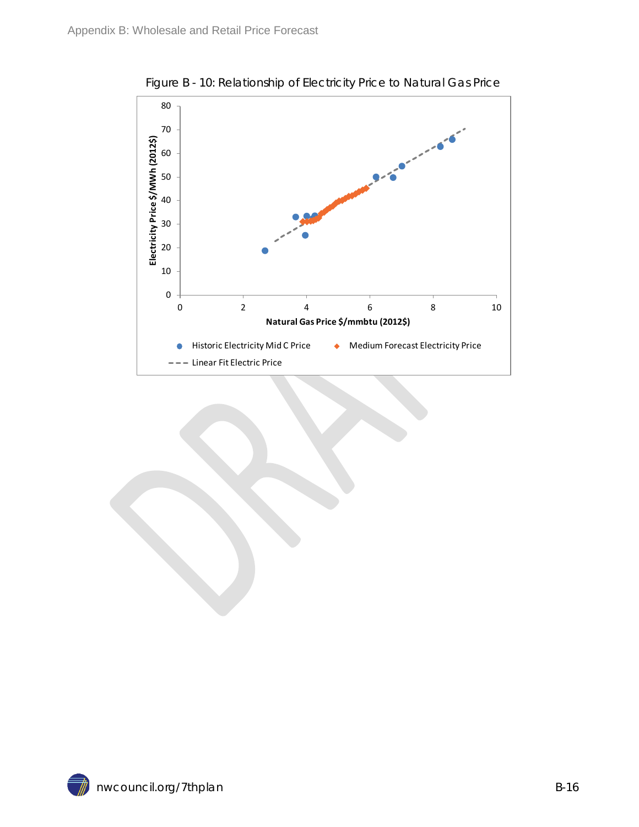<span id="page-15-0"></span>

Figure B - 10: Relationship of Electricity Price to Natural Gas Price

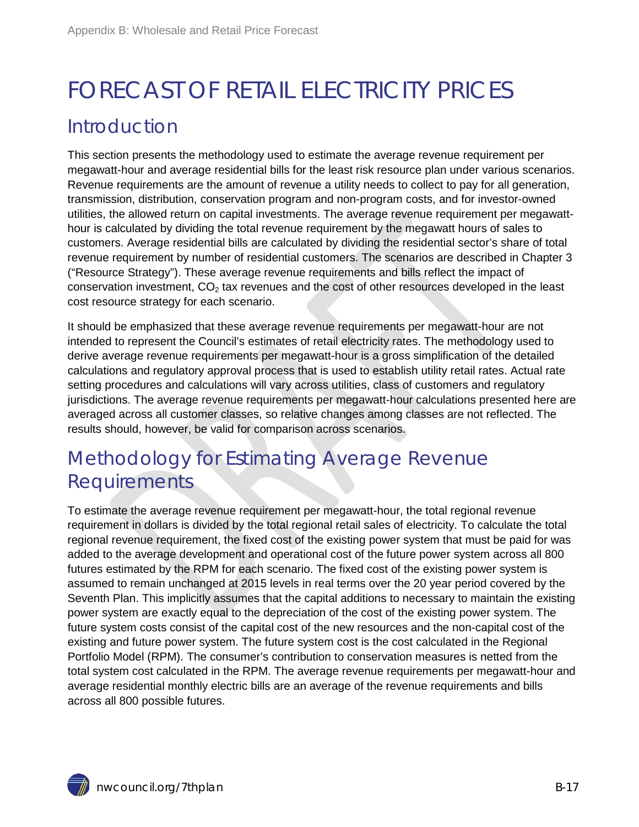## <span id="page-16-0"></span>FORECAST OF RETAIL ELECTRICITY PRICES Introduction

<span id="page-16-1"></span>This section presents the methodology used to estimate the average revenue requirement per megawatt-hour and average residential bills for the least risk resource plan under various scenarios. Revenue requirements are the amount of revenue a utility needs to collect to pay for all generation, transmission, distribution, conservation program and non-program costs, and for investor-owned utilities, the allowed return on capital investments. The average revenue requirement per megawatthour is calculated by dividing the total revenue requirement by the megawatt hours of sales to customers. Average residential bills are calculated by dividing the residential sector's share of total revenue requirement by number of residential customers. The scenarios are described in Chapter 3 ("Resource Strategy"). These average revenue requirements and bills reflect the impact of conservation investment,  $CO<sub>2</sub>$  tax revenues and the cost of other resources developed in the least cost resource strategy for each scenario.

It should be emphasized that these average revenue requirements per megawatt-hour are not intended to represent the Council's estimates of retail electricity rates. The methodology used to derive average revenue requirements per megawatt-hour is a gross simplification of the detailed calculations and regulatory approval process that is used to establish utility retail rates. Actual rate setting procedures and calculations will vary across utilities, class of customers and regulatory jurisdictions. The average revenue requirements per megawatt-hour calculations presented here are averaged across all customer classes, so relative changes among classes are not reflected. The results should, however, be valid for comparison across scenarios.

### <span id="page-16-2"></span>Methodology for Estimating Average Revenue Requirements

To estimate the average revenue requirement per megawatt-hour, the total regional revenue requirement in dollars is divided by the total regional retail sales of electricity. To calculate the total regional revenue requirement, the fixed cost of the existing power system that must be paid for was added to the average development and operational cost of the future power system across all 800 futures estimated by the RPM for each scenario. The fixed cost of the existing power system is assumed to remain unchanged at 2015 levels in real terms over the 20 year period covered by the Seventh Plan. This implicitly assumes that the capital additions to necessary to maintain the existing power system are exactly equal to the depreciation of the cost of the existing power system. The future system costs consist of the capital cost of the new resources and the non-capital cost of the existing and future power system. The future system cost is the cost calculated in the Regional Portfolio Model (RPM). The consumer's contribution to conservation measures is netted from the total system cost calculated in the RPM. The average revenue requirements per megawatt-hour and average residential monthly electric bills are an average of the revenue requirements and bills across all 800 possible futures.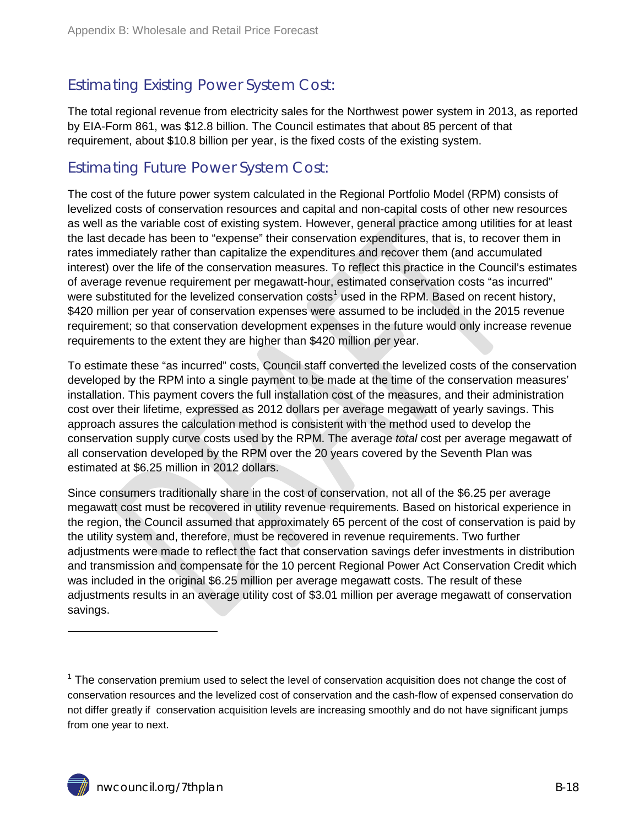### <span id="page-17-0"></span>Estimating Existing Power System Cost:

The total regional revenue from electricity sales for the Northwest power system in 2013, as reported by EIA-Form 861, was \$12.8 billion. The Council estimates that about 85 percent of that requirement, about \$10.8 billion per year, is the fixed costs of the existing system.

### <span id="page-17-1"></span>Estimating Future Power System Cost:

The cost of the future power system calculated in the Regional Portfolio Model (RPM) consists of levelized costs of conservation resources and capital and non-capital costs of other new resources as well as the variable cost of existing system. However, general practice among utilities for at least the last decade has been to "expense" their conservation expenditures, that is, to recover them in rates immediately rather than capitalize the expenditures and recover them (and accumulated interest) over the life of the conservation measures. To reflect this practice in the Council's estimates of average revenue requirement per megawatt-hour, estimated conservation costs "as incurred" were substituted for the levelized conservation costs<sup>[1](#page-0-0)</sup> used in the RPM. Based on recent history, \$420 million per year of conservation expenses were assumed to be included in the 2015 revenue requirement; so that conservation development expenses in the future would only increase revenue requirements to the extent they are higher than \$420 million per year.

To estimate these "as incurred" costs, Council staff converted the levelized costs of the conservation developed by the RPM into a single payment to be made at the time of the conservation measures' installation. This payment covers the full installation cost of the measures, and their administration cost over their lifetime, expressed as 2012 dollars per average megawatt of yearly savings. This approach assures the calculation method is consistent with the method used to develop the conservation supply curve costs used by the RPM. The average *total* cost per average megawatt of all conservation developed by the RPM over the 20 years covered by the Seventh Plan was estimated at \$6.25 million in 2012 dollars.

Since consumers traditionally share in the cost of conservation, not all of the \$6.25 per average megawatt cost must be recovered in utility revenue requirements. Based on historical experience in the region, the Council assumed that approximately 65 percent of the cost of conservation is paid by the utility system and, therefore, must be recovered in revenue requirements. Two further adjustments were made to reflect the fact that conservation savings defer investments in distribution and transmission and compensate for the 10 percent Regional Power Act Conservation Credit which was included in the original \$6.25 million per average megawatt costs. The result of these adjustments results in an average utility cost of \$3.01 million per average megawatt of conservation savings.

 $\overline{a}$ 

 $1$  The conservation premium used to select the level of conservation acquisition does not change the cost of conservation resources and the levelized cost of conservation and the cash-flow of expensed conservation do not differ greatly if conservation acquisition levels are increasing smoothly and do not have significant jumps from one year to next.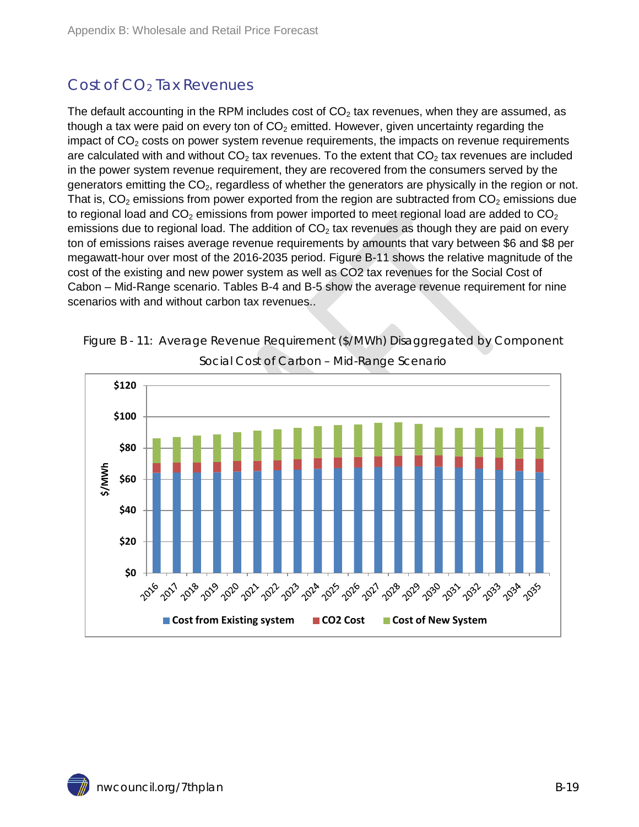### <span id="page-18-0"></span>Cost of  $CO<sub>2</sub>$  Tax Revenues

The default accounting in the RPM includes cost of  $CO<sub>2</sub>$  tax revenues, when they are assumed, as though a tax were paid on every ton of  $CO<sub>2</sub>$  emitted. However, given uncertainty regarding the impact of  $CO<sub>2</sub>$  costs on power system revenue requirements, the impacts on revenue requirements are calculated with and without  $CO<sub>2</sub>$  tax revenues. To the extent that  $CO<sub>2</sub>$  tax revenues are included in the power system revenue requirement, they are recovered from the consumers served by the generators emitting the  $CO<sub>2</sub>$ , regardless of whether the generators are physically in the region or not. That is,  $CO<sub>2</sub>$  emissions from power exported from the region are subtracted from  $CO<sub>2</sub>$  emissions due to regional load and  $CO<sub>2</sub>$  emissions from power imported to meet regional load are added to  $CO<sub>2</sub>$ emissions due to regional load. The addition of  $CO<sub>2</sub>$  tax revenues as though they are paid on every ton of emissions raises average revenue requirements by amounts that vary between \$6 and \$8 per megawatt-hour over most of the 2016-2035 period. Figure B-11 shows the relative magnitude of the cost of the existing and new power system as well as CO2 tax revenues for the Social Cost of Cabon – Mid-Range scenario. Tables B-4 and B-5 show the average revenue requirement for nine scenarios with and without carbon tax revenues..

<span id="page-18-3"></span><span id="page-18-1"></span>

<span id="page-18-2"></span>Figure B - 11: Average Revenue Requirement (\$/MWh) Disaggregated by Component Social Cost of Carbon – Mid-Range Scenario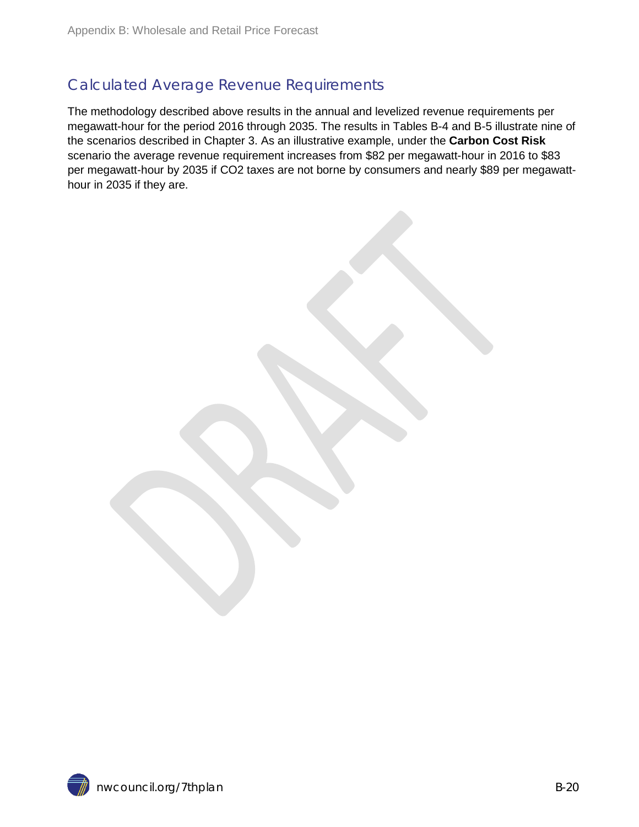### Calculated Average Revenue Requirements

The methodology described above results in the annual and levelized revenue requirements per megawatt-hour for the period 2016 through 2035. The results in Tables B-4 and B-5 illustrate nine of the scenarios described in Chapter 3. As an illustrative example, under the **Carbon Cost Risk** scenario the average revenue requirement increases from \$82 per megawatt-hour in 2016 to \$83 per megawatt-hour by 2035 if CO2 taxes are not borne by consumers and nearly \$89 per megawatthour in 2035 if they are.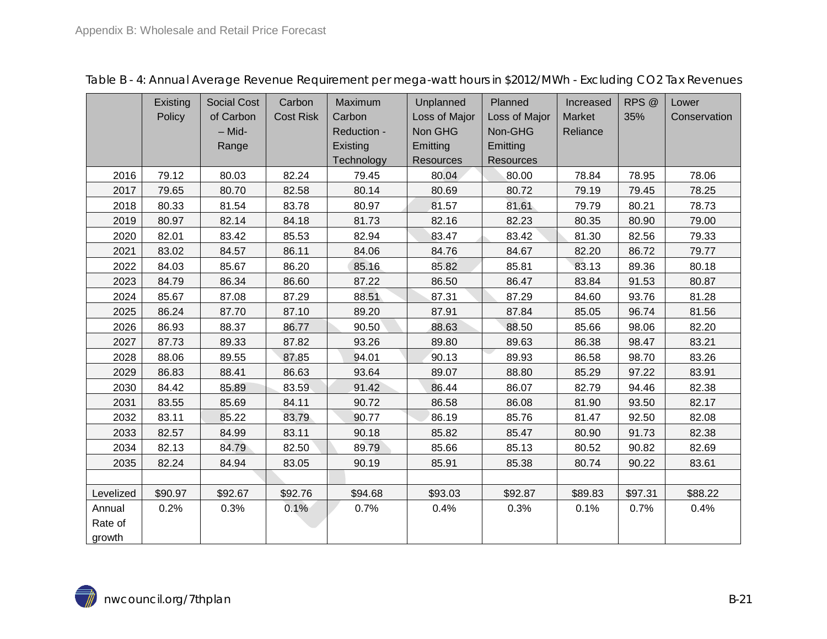<span id="page-20-0"></span>

|           | Existing | <b>Social Cost</b> | Carbon           | Maximum     | Unplanned        | Planned       |          | RPS <sup>@</sup> | Lower        |
|-----------|----------|--------------------|------------------|-------------|------------------|---------------|----------|------------------|--------------|
|           | Policy   | of Carbon          | <b>Cost Risk</b> | Carbon      | Loss of Major    | Loss of Major | Market   | 35%              | Conservation |
|           |          | - Mid-             |                  | Reduction - | Non GHG          | Non-GHG       | Reliance |                  |              |
|           |          | Range              |                  | Existing    | Emitting         | Emitting      |          |                  |              |
|           |          |                    |                  | Technology  | <b>Resources</b> | Resources     |          |                  |              |
| 2016      | 79.12    | 80.03              | 82.24            | 79.45       | 80.04            | 80.00         | 78.84    | 78.95            | 78.06        |
| 2017      | 79.65    | 80.70              | 82.58            | 80.14       | 80.69            | 80.72         | 79.19    | 79.45            | 78.25        |
| 2018      | 80.33    | 81.54              | 83.78            | 80.97       | 81.57            | 81.61         | 79.79    | 80.21            | 78.73        |
| 2019      | 80.97    | 82.14              | 84.18            | 81.73       | 82.16            | 82.23         | 80.35    | 80.90            | 79.00        |
| 2020      | 82.01    | 83.42              | 85.53            | 82.94       | 83.47            | 83.42         | 81.30    | 82.56            | 79.33        |
| 2021      | 83.02    | 84.57              | 86.11            | 84.06       | 84.76            | 84.67         | 82.20    | 86.72            | 79.77        |
| 2022      | 84.03    | 85.67              | 86.20            | 85.16       | 85.82            | 85.81         | 83.13    | 89.36            | 80.18        |
| 2023      | 84.79    | 86.34              | 86.60            | 87.22       | 86.50            | 86.47         |          | 91.53            | 80.87        |
| 2024      | 85.67    | 87.08              | 87.29            | 88.51       | 87.31            | 87.29         | 84.60    | 93.76            | 81.28        |
| 2025      | 86.24    | 87.70              | 87.10            | 89.20       | 87.91            | 87.84         | 85.05    | 96.74            | 81.56        |
| 2026      | 86.93    | 88.37              | 86.77            | 90.50       | 88.63            | 88.50         | 85.66    | 98.06            | 82.20        |
| 2027      | 87.73    | 89.33              | 87.82            | 93.26       | 89.80            | 89.63         |          | 98.47            | 83.21        |
| 2028      | 88.06    | 89.55              | 87.85            | 94.01       | 90.13            | 89.93         | 86.58    | 98.70            | 83.26        |
| 2029      | 86.83    | 88.41              | 86.63            | 93.64       | 89.07            | 88.80         | 85.29    | 97.22            | 83.91        |
| 2030      | 84.42    | 85.89              | 83.59            | 91.42       | 86.44            | 86.07         | 82.79    | 94.46            | 82.38        |
| 2031      | 83.55    | 85.69              | 84.11            | 90.72       | 86.58            | 86.08         | 81.90    | 93.50            | 82.17        |
| 2032      | 83.11    | 85.22              | 83.79            | 90.77       | 86.19            | 85.76         | 81.47    | 92.50            | 82.08        |
| 2033      | 82.57    | 84.99              | 83.11            | 90.18       | 85.82            | 85.47         | 80.90    | 91.73            | 82.38        |
| 2034      | 82.13    | 84.79              | 82.50            | 89.79       | 85.66            | 85.13         | 80.52    | 90.82            | 82.69        |
| 2035      | 82.24    | 84.94              | 83.05            | 90.19       | 85.91            | 85.38         | 80.74    | 90.22            | 83.61        |
|           |          |                    |                  |             |                  |               |          |                  |              |
| Levelized | \$90.97  | \$92.67            | \$92.76          | \$94.68     | \$93.03          | \$92.87       | \$89.83  | \$97.31          | \$88.22      |
| Annual    | 0.2%     | 0.3%               | 0.1%             | 0.7%        | 0.4%             | 0.3%          | 0.1%     | 0.7%             | 0.4%         |
| Rate of   |          |                    |                  |             |                  |               |          |                  |              |
| growth    |          |                    |                  |             |                  |               |          |                  |              |

Table B - 4: Annual Average Revenue Requirement per mega-watt hours in \$2012/MWh - Excluding CO2 Tax Revenues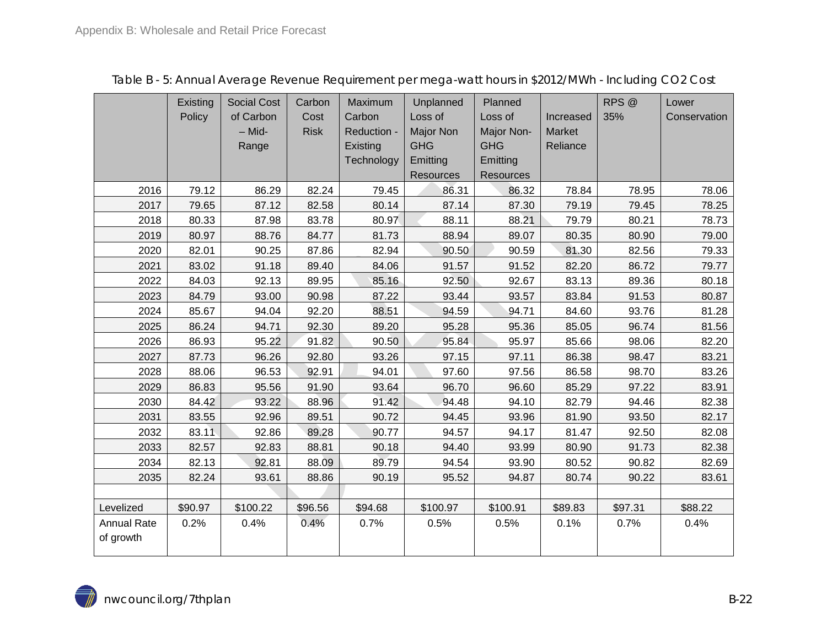<span id="page-21-0"></span>

|                    | Existing | <b>Social Cost</b> | Carbon      | Maximum     | Unplanned        | Planned          |               | RPS <sup>@</sup> | Lower        |
|--------------------|----------|--------------------|-------------|-------------|------------------|------------------|---------------|------------------|--------------|
|                    | Policy   | of Carbon          | Cost        | Carbon      | Loss of          | Loss of          | Increased     | 35%              | Conservation |
|                    |          | - Mid-             | <b>Risk</b> | Reduction - | <b>Major Non</b> | Major Non-       | <b>Market</b> |                  |              |
|                    |          | Range              |             | Existing    | <b>GHG</b>       | <b>GHG</b>       | Reliance      |                  |              |
|                    |          |                    |             | Technology  | Emitting         | Emitting         |               |                  |              |
|                    |          |                    |             |             | <b>Resources</b> | <b>Resources</b> |               |                  |              |
| 2016               | 79.12    | 86.29              | 82.24       | 79.45       | 86.31            | 86.32            | 78.84         | 78.95            | 78.06        |
| 2017               | 79.65    | 87.12              | 82.58       | 80.14       | 87.14            | 87.30            | 79.19         | 79.45            | 78.25        |
| 2018               | 80.33    | 87.98              | 83.78       | 80.97       | 88.11            | 88.21            | 79.79         | 80.21            | 78.73        |
| 2019               | 80.97    | 88.76              | 84.77       | 81.73       | 88.94            | 89.07            | 80.35         | 80.90            | 79.00        |
| 2020               | 82.01    | 90.25              | 87.86       | 82.94       | 90.50            | 90.59            | 81.30         | 82.56            | 79.33        |
| 2021               | 83.02    | 91.18              | 89.40       | 84.06       | 91.57            | 91.52            | 82.20         | 86.72            | 79.77        |
| 2022               | 84.03    | 92.13              | 89.95       | 85.16       | 92.50            | 92.67            | 83.13         | 89.36            | 80.18        |
| 2023               | 84.79    | 93.00              | 90.98       | 87.22       | 93.44            | 93.57            | 83.84         | 91.53            | 80.87        |
| 2024               | 85.67    | 94.04              | 92.20       | 88.51       | 94.59            | 94.71            | 84.60         | 93.76            | 81.28        |
| 2025               | 86.24    | 94.71              | 92.30       | 89.20       | 95.28            | 95.36            | 85.05         | 96.74            | 81.56        |
| 2026               | 86.93    | 95.22              | 91.82       | 90.50       | 95.84            | 95.97            | 85.66         | 98.06            | 82.20        |
| 2027               | 87.73    | 96.26              | 92.80       | 93.26       | 97.15            | 97.11            | 86.38         | 98.47            | 83.21        |
| 2028               | 88.06    | 96.53              | 92.91       | 94.01       | 97.60            | 97.56            | 86.58         | 98.70            | 83.26        |
| 2029               | 86.83    | 95.56              | 91.90       | 93.64       | 96.70            | 96.60            | 85.29         | 97.22            | 83.91        |
| 2030               | 84.42    | 93.22              | 88.96       | 91.42       | 94.48            | 94.10            | 82.79         | 94.46            | 82.38        |
| 2031               | 83.55    | 92.96              | 89.51       | 90.72       | 94.45            | 93.96            | 81.90         | 93.50            | 82.17        |
| 2032               | 83.11    | 92.86              | 89.28       | 90.77       | 94.57            | 94.17            | 81.47         | 92.50            | 82.08        |
| 2033               | 82.57    | 92.83              | 88.81       | 90.18       | 94.40            | 93.99            | 80.90         | 91.73            | 82.38        |
| 2034               | 82.13    | 92.81              | 88.09       | 89.79       | 94.54            | 93.90            | 80.52         | 90.82            | 82.69        |
| 2035               | 82.24    | 93.61              | 88.86       | 90.19       | 95.52            | 94.87            | 80.74         | 90.22            | 83.61        |
|                    |          |                    |             |             |                  |                  |               |                  |              |
| Levelized          | \$90.97  | \$100.22           | \$96.56     | \$94.68     | \$100.97         | \$100.91         | \$89.83       | \$97.31          | \$88.22      |
| <b>Annual Rate</b> | 0.2%     | 0.4%               | 0.4%        | 0.7%        | 0.5%             | 0.5%             | 0.1%          | 0.7%             | 0.4%         |
| of growth          |          |                    |             |             |                  |                  |               |                  |              |
|                    |          |                    |             |             |                  |                  |               |                  |              |

Table B - 5: Annual Average Revenue Requirement per mega-watt hours in \$2012/MWh - Including CO2 Cost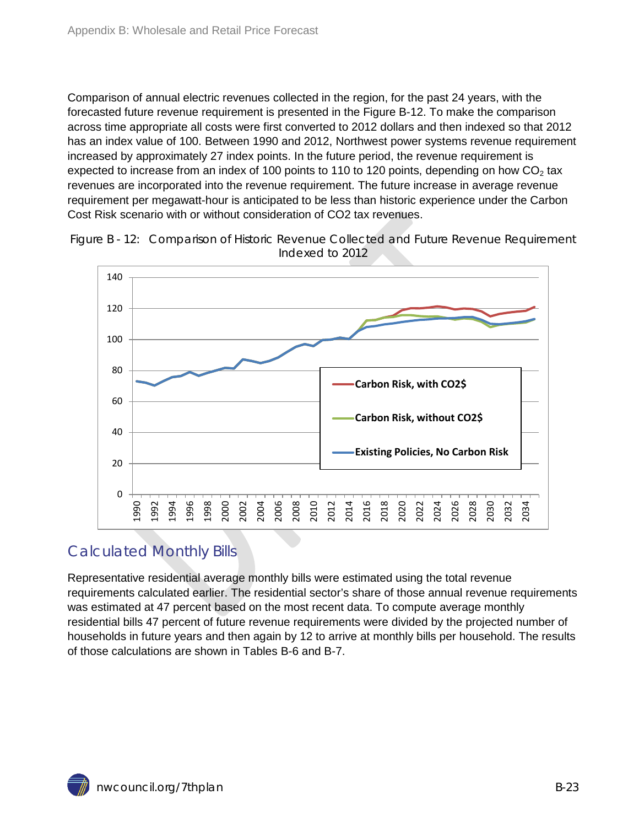Comparison of annual electric revenues collected in the region, for the past 24 years, with the forecasted future revenue requirement is presented in the Figure B-12. To make the comparison across time appropriate all costs were first converted to 2012 dollars and then indexed so that 2012 has an index value of 100. Between 1990 and 2012, Northwest power systems revenue requirement increased by approximately 27 index points. In the future period, the revenue requirement is expected to increase from an index of 100 points to 110 to 120 points, depending on how  $CO<sub>2</sub>$  tax revenues are incorporated into the revenue requirement. The future increase in average revenue requirement per megawatt-hour is anticipated to be less than historic experience under the Carbon Cost Risk scenario with or without consideration of CO2 tax revenues.



<span id="page-22-1"></span>Figure B - 12: Comparison of Historic Revenue Collected and Future Revenue Requirement Indexed to 2012

### <span id="page-22-0"></span>Calculated Monthly Bills

Representative residential average monthly bills were estimated using the total revenue requirements calculated earlier. The residential sector's share of those annual revenue requirements was estimated at 47 percent based on the most recent data. To compute average monthly residential bills 47 percent of future revenue requirements were divided by the projected number of households in future years and then again by 12 to arrive at monthly bills per household. The results of those calculations are shown in Tables B-6 and B-7.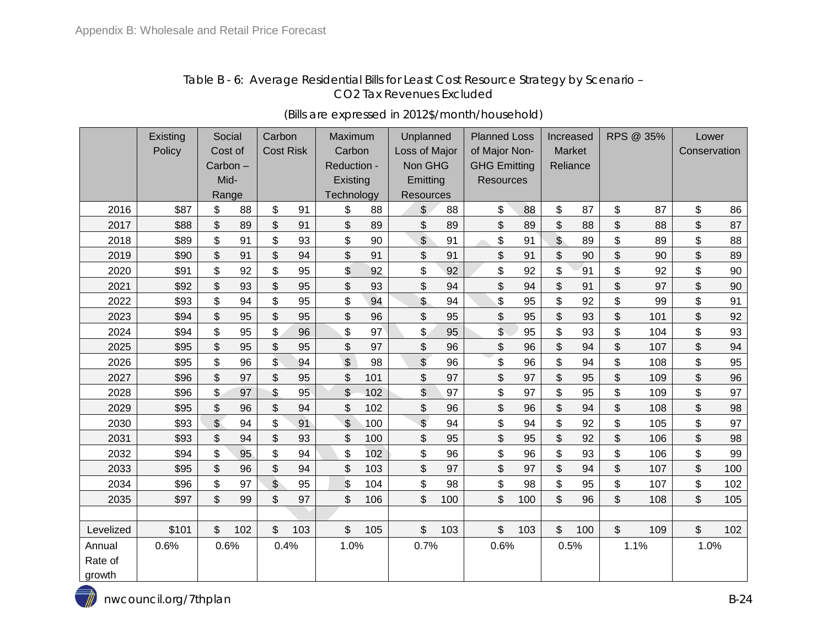#### Table B - 6: Average Residential Bills for Least Cost Resource Strategy by Scenario – CO2 Tax Revenues Excluded

<span id="page-23-1"></span><span id="page-23-0"></span>

|           | Existing |              | Social  | Carbon           |     | Maximum                   |     | Unplanned     |     | <b>Planned Loss</b> |     | Increased      |      | RPS @ 35%    |      | Lower          |     |
|-----------|----------|--------------|---------|------------------|-----|---------------------------|-----|---------------|-----|---------------------|-----|----------------|------|--------------|------|----------------|-----|
|           | Policy   |              | Cost of | <b>Cost Risk</b> |     | Carbon                    |     | Loss of Major |     | of Major Non-       |     | Market         |      | Conservation |      |                |     |
|           |          |              | Carbon- |                  |     | Reduction -               |     | Non GHG       |     | <b>GHG Emitting</b> |     | Reliance       |      |              |      |                |     |
|           |          |              | Mid-    |                  |     | Existing                  |     | Emitting      |     | <b>Resources</b>    |     |                |      |              |      |                |     |
|           |          |              | Range   |                  |     | Technology                |     | Resources     |     |                     |     |                |      |              |      |                |     |
| 2016      | \$87     | \$           | 88      | \$               | 91  | \$                        | 88  | \$            | 88  | \$                  | 88  | \$             | 87   | \$           | 87   | \$             | 86  |
| 2017      | \$88     | \$           | 89      | \$               | 91  | \$                        | 89  | \$            | 89  | \$                  | 89  | \$             | 88   | \$           | 88   | $\mathfrak{P}$ | 87  |
| 2018      | \$89     | \$           | 91      | \$               | 93  | \$                        | 90  | $\frac{1}{2}$ | 91  | \$                  | 91  | $\mathfrak{S}$ | 89   | \$           | 89   | \$             | 88  |
| 2019      | \$90     | \$           | 91      | \$               | 94  | \$                        | 91  | \$            | 91  | \$                  | 91  | \$             | 90   | \$           | 90   | \$             | 89  |
| 2020      | \$91     | \$           | 92      | \$               | 95  | \$                        | 92  | \$            | 92  | \$                  | 92  | \$             | 91   | \$           | 92   | \$             | 90  |
| 2021      | \$92     | \$           | 93      | \$               | 95  | \$                        | 93  | \$            | 94  | \$                  | 94  | \$             | 91   | \$           | 97   | \$             | 90  |
| 2022      | \$93     | \$           | 94      | \$               | 95  | \$                        | 94  | \$            | 94  | \$                  | 95  | \$             | 92   | \$           | 99   | \$             | 91  |
| 2023      | \$94     | \$           | 95      | \$               | 95  | \$                        | 96  | \$            | 95  | \$                  | 95  | \$             | 93   | \$           | 101  | \$             | 92  |
| 2024      | \$94     | \$           | 95      | \$               | 96  | \$                        | 97  | \$            | 95  | \$                  | 95  | \$             | 93   | \$           | 104  | \$             | 93  |
| 2025      | \$95     | \$           | 95      | \$               | 95  | \$                        | 97  | \$            | 96  | \$                  | 96  | \$             | 94   | \$           | 107  | \$             | 94  |
| 2026      | \$95     | \$           | 96      | $\mathsf{\$}$    | 94  | $\frac{1}{2}$             | 98  | \$            | 96  | \$                  | 96  | \$             | 94   | \$           | 108  | \$             | 95  |
| 2027      | \$96     | \$           | 97      | \$               | 95  | \$                        | 101 | \$            | 97  | \$                  | 97  | \$             | 95   | \$           | 109  | \$             | 96  |
| 2028      | \$96     | \$           | 97      | \$               | 95  | \$                        | 102 | \$            | 97  | \$                  | 97  | \$             | 95   | \$           | 109  | \$             | 97  |
| 2029      | \$95     | \$           | 96      | \$               | 94  | \$                        | 102 | \$            | 96  | \$                  | 96  | \$             | 94   | \$           | 108  | \$             | 98  |
| 2030      | \$93     | $\mathbb{S}$ | 94      | \$               | 91  | $\boldsymbol{\mathsf{S}}$ | 100 | $\frac{1}{2}$ | 94  | \$                  | 94  | \$             | 92   | \$           | 105  | \$             | 97  |
| 2031      | \$93     | \$           | 94      | \$               | 93  | \$                        | 100 | \$            | 95  | \$                  | 95  | \$             | 92   | \$           | 106  | \$             | 98  |
| 2032      | \$94     | \$           | 95      | \$               | 94  | \$                        | 102 | \$            | 96  | \$                  | 96  | \$             | 93   | \$           | 106  | \$             | 99  |
| 2033      | \$95     | \$           | 96      | \$               | 94  | \$                        | 103 | \$            | 97  | \$                  | 97  | \$             | 94   | \$           | 107  | \$             | 100 |
| 2034      | \$96     | \$           | 97      | $\sqrt{2}$       | 95  | \$                        | 104 | \$            | 98  | \$                  | 98  | \$             | 95   | \$           | 107  | \$             | 102 |
| 2035      | \$97     | \$           | 99      | \$               | 97  | \$                        | 106 | \$            | 100 | \$                  | 100 | \$             | 96   | \$           | 108  | \$             | 105 |
|           |          |              |         |                  |     |                           |     |               |     |                     |     |                |      |              |      |                |     |
| Levelized | \$101    | \$           | 102     | \$               | 103 | \$                        | 105 | \$            | 103 | \$                  | 103 | \$             | 100  | \$           | 109  | \$             | 102 |
| Annual    | 0.6%     |              | 0.6%    | 0.4%             |     | 1.0%                      |     | 0.7%          |     | 0.6%                |     |                | 0.5% |              | 1.1% | 1.0%           |     |
| Rate of   |          |              |         |                  |     |                           |     |               |     |                     |     |                |      |              |      |                |     |
| growth    |          |              |         |                  |     |                           |     |               |     |                     |     |                |      |              |      |                |     |